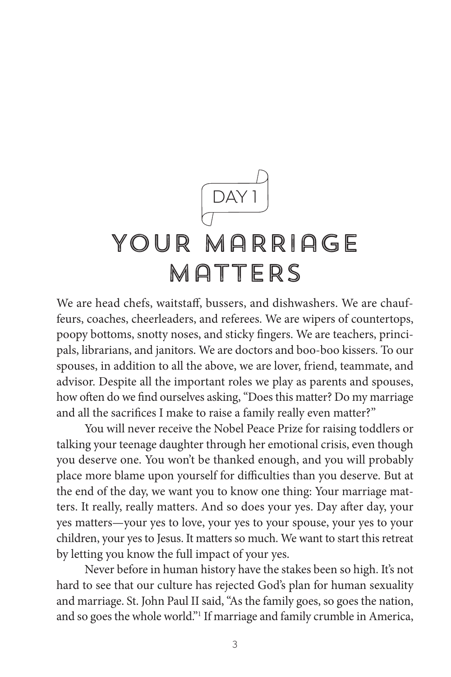# $\frac{1}{\sqrt{1}}$ YOUR MARRIAGE Matters

We are head chefs, waitstaff, bussers, and dishwashers. We are chauffeurs, coaches, cheerleaders, and referees. We are wipers of countertops, poopy bottoms, snotty noses, and sticky fingers. We are teachers, principals, librarians, and janitors. We are doctors and boo-boo kissers. To our spouses, in addition to all the above, we are lover, friend, teammate, and advisor. Despite all the important roles we play as parents and spouses, how often do we find ourselves asking, "Does this matter? Do my marriage and all the sacrifices I make to raise a family really even matter?"

You will never receive the Nobel Peace Prize for raising toddlers or talking your teenage daughter through her emotional crisis, even though you deserve one. You won't be thanked enough, and you will probably place more blame upon yourself for difficulties than you deserve. But at the end of the day, we want you to know one thing: Your marriage matters. It really, really matters. And so does your yes. Day after day, your yes matters—your yes to love, your yes to your spouse, your yes to your children, your yes to Jesus. It matters so much. We want to start this retreat by letting you know the full impact of your yes.

Never before in human history have the stakes been so high. It's not hard to see that our culture has rejected God's plan for human sexuality and marriage. St. John Paul II said, "As the family goes, so goes the nation, and so goes the whole world."1 If marriage and family crumble in America,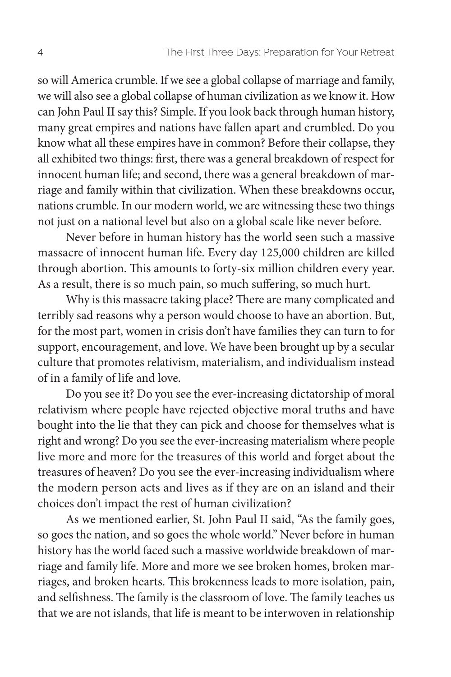so will America crumble. If we see a global collapse of marriage and family, we will also see a global collapse of human civilization as we know it. How can John Paul II say this? Simple. If you look back through human history, many great empires and nations have fallen apart and crumbled. Do you know what all these empires have in common? Before their collapse, they all exhibited two things: first, there was a general breakdown of respect for innocent human life; and second, there was a general breakdown of marriage and family within that civilization. When these breakdowns occur, nations crumble. In our modern world, we are witnessing these two things not just on a national level but also on a global scale like never before.

Never before in human history has the world seen such a massive massacre of innocent human life. Every day 125,000 children are killed through abortion. This amounts to forty-six million children every year. As a result, there is so much pain, so much suffering, so much hurt.

Why is this massacre taking place? There are many complicated and terribly sad reasons why a person would choose to have an abortion. But, for the most part, women in crisis don't have families they can turn to for support, encouragement, and love. We have been brought up by a secular culture that promotes relativism, materialism, and individualism instead of in a family of life and love.

Do you see it? Do you see the ever-increasing dictatorship of moral relativism where people have rejected objective moral truths and have bought into the lie that they can pick and choose for themselves what is right and wrong? Do you see the ever-increasing materialism where people live more and more for the treasures of this world and forget about the treasures of heaven? Do you see the ever-increasing individualism where the modern person acts and lives as if they are on an island and their choices don't impact the rest of human civilization?

As we mentioned earlier, St. John Paul II said, "As the family goes, so goes the nation, and so goes the whole world." Never before in human history has the world faced such a massive worldwide breakdown of marriage and family life. More and more we see broken homes, broken marriages, and broken hearts. This brokenness leads to more isolation, pain, and selfishness. The family is the classroom of love. The family teaches us that we are not islands, that life is meant to be interwoven in relationship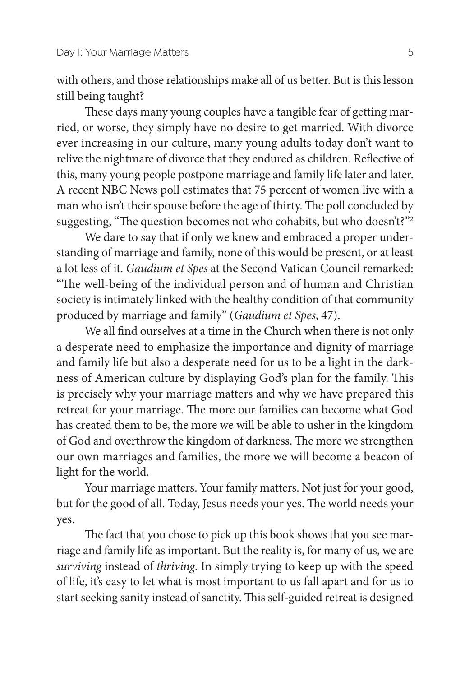with others, and those relationships make all of us better. But is this lesson still being taught?

These days many young couples have a tangible fear of getting married, or worse, they simply have no desire to get married. With divorce ever increasing in our culture, many young adults today don't want to relive the nightmare of divorce that they endured as children. Reflective of this, many young people postpone marriage and family life later and later. A recent NBC News poll estimates that 75 percent of women live with a man who isn't their spouse before the age of thirty. The poll concluded by suggesting, "The question becomes not who cohabits, but who doesn't?"2

We dare to say that if only we knew and embraced a proper understanding of marriage and family, none of this would be present, or at least a lot less of it. *Gaudium et Spes* at the Second Vatican Council remarked: "The well-being of the individual person and of human and Christian society is intimately linked with the healthy condition of that community produced by marriage and family" (*Gaudium et Spes*, 47).

We all find ourselves at a time in the Church when there is not only a desperate need to emphasize the importance and dignity of marriage and family life but also a desperate need for us to be a light in the darkness of American culture by displaying God's plan for the family. This is precisely why your marriage matters and why we have prepared this retreat for your marriage. The more our families can become what God has created them to be, the more we will be able to usher in the kingdom of God and overthrow the kingdom of darkness. The more we strengthen our own marriages and families, the more we will become a beacon of light for the world.

Your marriage matters. Your family matters. Not just for your good, but for the good of all. Today, Jesus needs your yes. The world needs your yes.

The fact that you chose to pick up this book shows that you see marriage and family life as important. But the reality is, for many of us, we are *surviving* instead of *thriving*. In simply trying to keep up with the speed of life, it's easy to let what is most important to us fall apart and for us to start seeking sanity instead of sanctity. This self-guided retreat is designed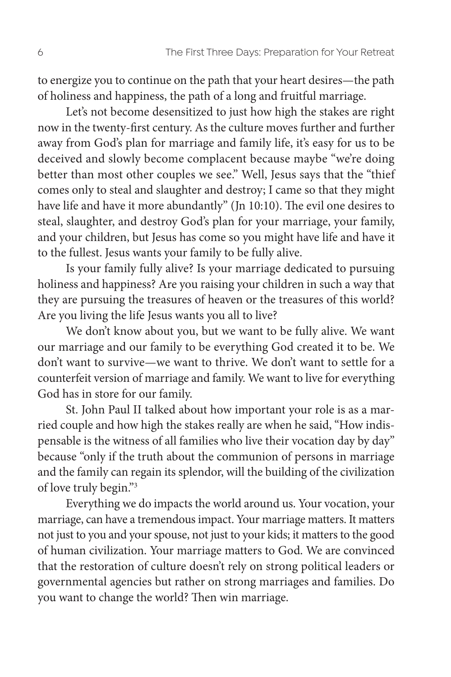to energize you to continue on the path that your heart desires—the path of holiness and happiness, the path of a long and fruitful marriage.

Let's not become desensitized to just how high the stakes are right now in the twenty-first century. As the culture moves further and further away from God's plan for marriage and family life, it's easy for us to be deceived and slowly become complacent because maybe "we're doing better than most other couples we see." Well, Jesus says that the "thief comes only to steal and slaughter and destroy; I came so that they might have life and have it more abundantly" (Jn 10:10). The evil one desires to steal, slaughter, and destroy God's plan for your marriage, your family, and your children, but Jesus has come so you might have life and have it to the fullest. Jesus wants your family to be fully alive.

Is your family fully alive? Is your marriage dedicated to pursuing holiness and happiness? Are you raising your children in such a way that they are pursuing the treasures of heaven or the treasures of this world? Are you living the life Jesus wants you all to live?

We don't know about you, but we want to be fully alive. We want our marriage and our family to be everything God created it to be. We don't want to survive—we want to thrive. We don't want to settle for a counterfeit version of marriage and family. We want to live for everything God has in store for our family.

St. John Paul II talked about how important your role is as a married couple and how high the stakes really are when he said, "How indispensable is the witness of all families who live their vocation day by day" because "only if the truth about the communion of persons in marriage and the family can regain its splendor, will the building of the civilization of love truly begin."3

Everything we do impacts the world around us. Your vocation, your marriage, can have a tremendous impact. Your marriage matters. It matters not just to you and your spouse, not just to your kids; it matters to the good of human civilization. Your marriage matters to God. We are convinced that the restoration of culture doesn't rely on strong political leaders or governmental agencies but rather on strong marriages and families. Do you want to change the world? Then win marriage.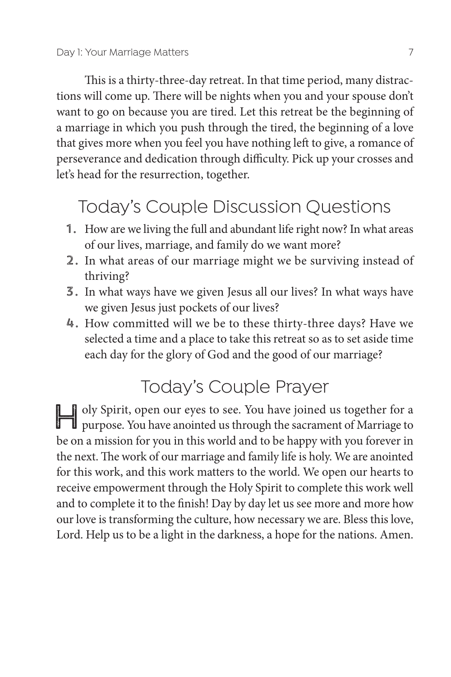This is a thirty-three-day retreat. In that time period, many distractions will come up. There will be nights when you and your spouse don't want to go on because you are tired. Let this retreat be the beginning of a marriage in which you push through the tired, the beginning of a love that gives more when you feel you have nothing left to give, a romance of perseverance and dedication through difficulty. Pick up your crosses and let's head for the resurrection, together.

### Today's Couple Discussion Questions

- 1. How are we living the full and abundant life right now? In what areas of our lives, marriage, and family do we want more?
- 2. In what areas of our marriage might we be surviving instead of thriving?
- 3. In what ways have we given Jesus all our lives? In what ways have we given Jesus just pockets of our lives?
- 4. How committed will we be to these thirty-three days? Have we selected a time and a place to take this retreat so as to set aside time each day for the glory of God and the good of our marriage?

### Today's Couple Prayer

Holy Spirit, open our eyes to see. You have joined us together for a purpose. You have anointed us through the sacrament of Marriage to be on a mission for you in this world and to be happy with you forever in the next. The work of our marriage and family life is holy. We are anointed for this work, and this work matters to the world. We open our hearts to receive empowerment through the Holy Spirit to complete this work well and to complete it to the finish! Day by day let us see more and more how our love is transforming the culture, how necessary we are. Bless this love, Lord. Help us to be a light in the darkness, a hope for the nations. Amen.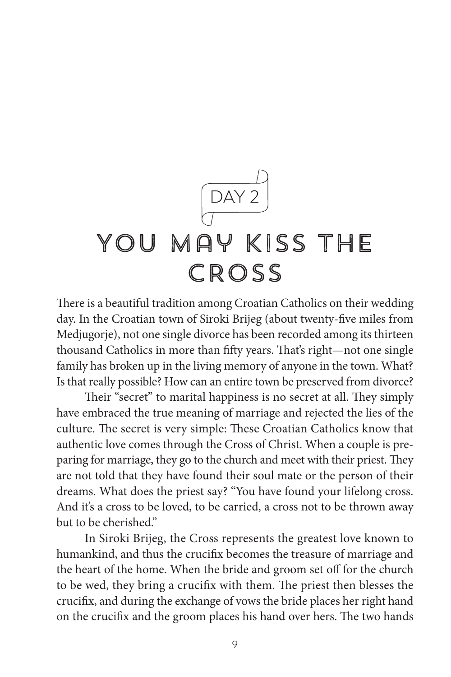# $\int$ DAY 2 You May Kiss the Cross

There is a beautiful tradition among Croatian Catholics on their wedding day. In the Croatian town of Siroki Brijeg (about twenty-five miles from Medjugorje), not one single divorce has been recorded among its thirteen thousand Catholics in more than fifty years. That's right—not one single family has broken up in the living memory of anyone in the town. What? Is that really possible? How can an entire town be preserved from divorce?

Their "secret" to marital happiness is no secret at all. They simply have embraced the true meaning of marriage and rejected the lies of the culture. The secret is very simple: These Croatian Catholics know that authentic love comes through the Cross of Christ. When a couple is preparing for marriage, they go to the church and meet with their priest. They are not told that they have found their soul mate or the person of their dreams. What does the priest say? "You have found your lifelong cross. And it's a cross to be loved, to be carried, a cross not to be thrown away but to be cherished."

In Siroki Brijeg, the Cross represents the greatest love known to humankind, and thus the crucifix becomes the treasure of marriage and the heart of the home. When the bride and groom set off for the church to be wed, they bring a crucifix with them. The priest then blesses the crucifix, and during the exchange of vows the bride places her right hand on the crucifix and the groom places his hand over hers. The two hands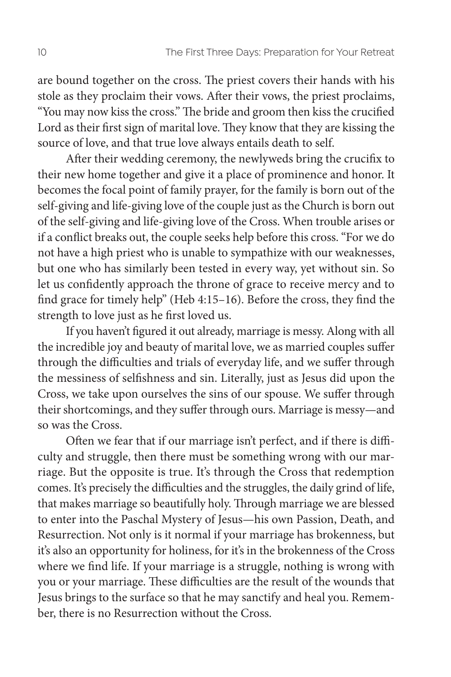are bound together on the cross. The priest covers their hands with his stole as they proclaim their vows. After their vows, the priest proclaims, "You may now kiss the cross." The bride and groom then kiss the crucified Lord as their first sign of marital love. They know that they are kissing the source of love, and that true love always entails death to self.

After their wedding ceremony, the newlyweds bring the crucifix to their new home together and give it a place of prominence and honor. It becomes the focal point of family prayer, for the family is born out of the self-giving and life-giving love of the couple just as the Church is born out of the self-giving and life-giving love of the Cross. When trouble arises or if a conflict breaks out, the couple seeks help before this cross. "For we do not have a high priest who is unable to sympathize with our weaknesses, but one who has similarly been tested in every way, yet without sin. So let us confidently approach the throne of grace to receive mercy and to find grace for timely help" (Heb 4:15–16). Before the cross, they find the strength to love just as he first loved us.

If you haven't figured it out already, marriage is messy. Along with all the incredible joy and beauty of marital love, we as married couples suffer through the difficulties and trials of everyday life, and we suffer through the messiness of selfishness and sin. Literally, just as Jesus did upon the Cross, we take upon ourselves the sins of our spouse. We suffer through their shortcomings, and they suffer through ours. Marriage is messy—and so was the Cross.

Often we fear that if our marriage isn't perfect, and if there is difficulty and struggle, then there must be something wrong with our marriage. But the opposite is true. It's through the Cross that redemption comes. It's precisely the difficulties and the struggles, the daily grind of life, that makes marriage so beautifully holy. Through marriage we are blessed to enter into the Paschal Mystery of Jesus—his own Passion, Death, and Resurrection. Not only is it normal if your marriage has brokenness, but it's also an opportunity for holiness, for it's in the brokenness of the Cross where we find life. If your marriage is a struggle, nothing is wrong with you or your marriage. These difficulties are the result of the wounds that Jesus brings to the surface so that he may sanctify and heal you. Remember, there is no Resurrection without the Cross.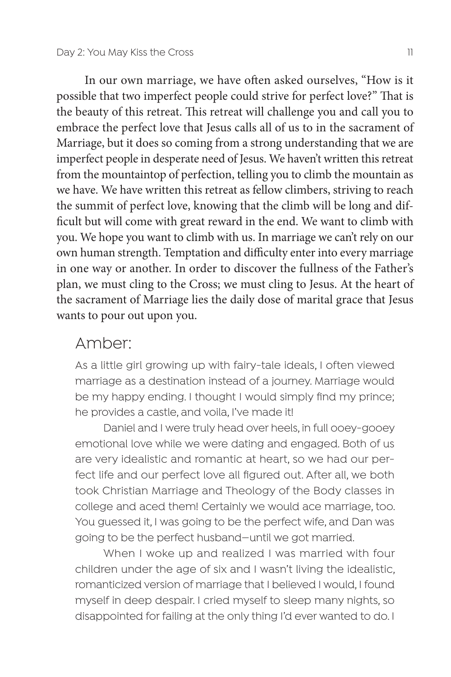In our own marriage, we have often asked ourselves, "How is it possible that two imperfect people could strive for perfect love?" That is the beauty of this retreat. This retreat will challenge you and call you to embrace the perfect love that Jesus calls all of us to in the sacrament of Marriage, but it does so coming from a strong understanding that we are imperfect people in desperate need of Jesus. We haven't written this retreat from the mountaintop of perfection, telling you to climb the mountain as we have. We have written this retreat as fellow climbers, striving to reach the summit of perfect love, knowing that the climb will be long and difficult but will come with great reward in the end. We want to climb with you. We hope you want to climb with us. In marriage we can't rely on our own human strength. Temptation and difficulty enter into every marriage in one way or another. In order to discover the fullness of the Father's plan, we must cling to the Cross; we must cling to Jesus. At the heart of the sacrament of Marriage lies the daily dose of marital grace that Jesus wants to pour out upon you.

#### Amber:

As a little girl growing up with fairy-tale ideals, I often viewed marriage as a destination instead of a journey. Marriage would be my happy ending. I thought I would simply find my prince; he provides a castle, and voila, I've made it!

Daniel and I were truly head over heels, in full ooey-gooey emotional love while we were dating and engaged. Both of us are very idealistic and romantic at heart, so we had our perfect life and our perfect love all figured out. After all, we both took Christian Marriage and Theology of the Body classes in college and aced them! Certainly we would ace marriage, too. You guessed it, I was going to be the perfect wife, and Dan was going to be the perfect husband—until we got married.

When I woke up and realized I was married with four children under the age of six and I wasn't living the idealistic, romanticized version of marriage that I believed I would, I found myself in deep despair. I cried myself to sleep many nights, so disappointed for failing at the only thing I'd ever wanted to do. I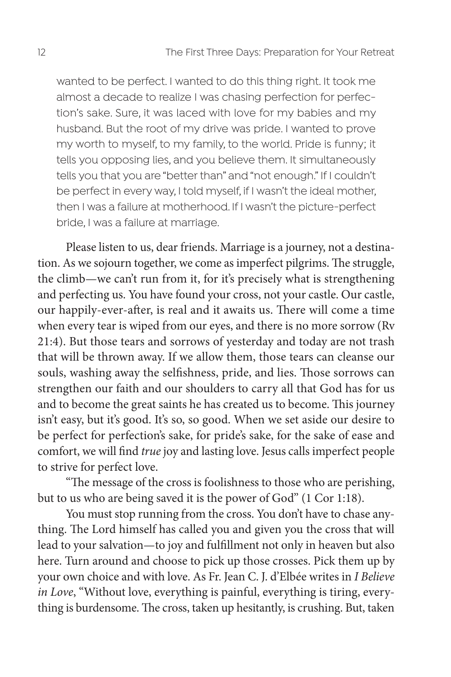wanted to be perfect. I wanted to do this thing right. It took me almost a decade to realize I was chasing perfection for perfection's sake. Sure, it was laced with love for my babies and my husband. But the root of my drive was pride. I wanted to prove my worth to myself, to my family, to the world. Pride is funny; it tells you opposing lies, and you believe them. It simultaneously tells you that you are "better than" and "not enough." If I couldn't be perfect in every way, I told myself, if I wasn't the ideal mother, then I was a failure at motherhood. If I wasn't the picture-perfect bride, I was a failure at marriage.

Please listen to us, dear friends. Marriage is a journey, not a destination. As we sojourn together, we come as imperfect pilgrims. The struggle, the climb—we can't run from it, for it's precisely what is strengthening and perfecting us. You have found your cross, not your castle. Our castle, our happily-ever-after, is real and it awaits us. There will come a time when every tear is wiped from our eyes, and there is no more sorrow (Rv 21:4). But those tears and sorrows of yesterday and today are not trash that will be thrown away. If we allow them, those tears can cleanse our souls, washing away the selfishness, pride, and lies. Those sorrows can strengthen our faith and our shoulders to carry all that God has for us and to become the great saints he has created us to become. This journey isn't easy, but it's good. It's so, so good. When we set aside our desire to be perfect for perfection's sake, for pride's sake, for the sake of ease and comfort, we will find *true* joy and lasting love. Jesus calls imperfect people to strive for perfect love.

"The message of the cross is foolishness to those who are perishing, but to us who are being saved it is the power of God" (1 Cor 1:18).

You must stop running from the cross. You don't have to chase anything. The Lord himself has called you and given you the cross that will lead to your salvation—to joy and fulfillment not only in heaven but also here. Turn around and choose to pick up those crosses. Pick them up by your own choice and with love. As Fr. Jean C. J. d'Elbée writes in *I Believe in Love*, "Without love, everything is painful, everything is tiring, everything is burdensome. The cross, taken up hesitantly, is crushing. But, taken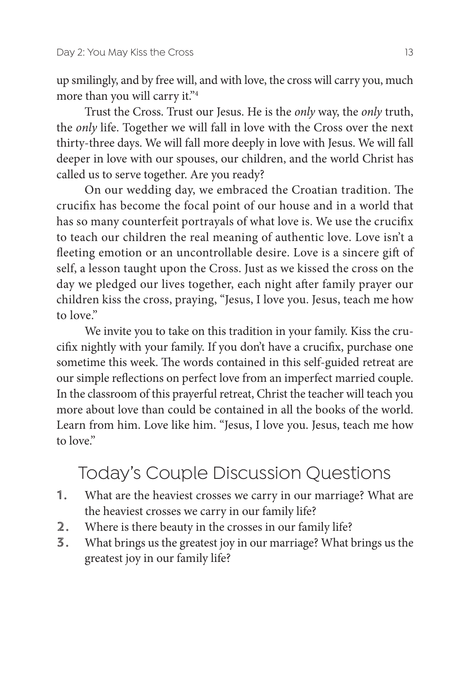up smilingly, and by free will, and with love, the cross will carry you, much more than you will carry it."4

Trust the Cross. Trust our Jesus. He is the *only* way, the *only* truth, the *only* life. Together we will fall in love with the Cross over the next thirty-three days. We will fall more deeply in love with Jesus. We will fall deeper in love with our spouses, our children, and the world Christ has called us to serve together. Are you ready?

On our wedding day, we embraced the Croatian tradition. The crucifix has become the focal point of our house and in a world that has so many counterfeit portrayals of what love is. We use the crucifix to teach our children the real meaning of authentic love. Love isn't a fleeting emotion or an uncontrollable desire. Love is a sincere gift of self, a lesson taught upon the Cross. Just as we kissed the cross on the day we pledged our lives together, each night after family prayer our children kiss the cross, praying, "Jesus, I love you. Jesus, teach me how to love."

We invite you to take on this tradition in your family. Kiss the crucifix nightly with your family. If you don't have a crucifix, purchase one sometime this week. The words contained in this self-guided retreat are our simple reflections on perfect love from an imperfect married couple. In the classroom of this prayerful retreat, Christ the teacher will teach you more about love than could be contained in all the books of the world. Learn from him. Love like him. "Jesus, I love you. Jesus, teach me how to love."

## Today's Couple Discussion Questions

- 1. What are the heaviest crosses we carry in our marriage? What are the heaviest crosses we carry in our family life?
- 2. Where is there beauty in the crosses in our family life?
- 3. What brings us the greatest joy in our marriage? What brings us the greatest joy in our family life?